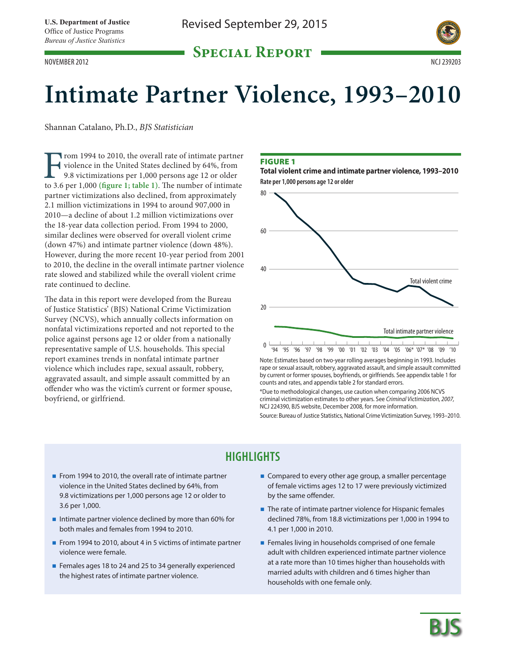NOVEMBER 2012 NCJ 239203

# **Special Report**



# **Intimate Partner Violence, 1993–2010**

Shannan Catalano, Ph.D., *BJS Statistician*

From 1994 to 2010, the overall rate of intimate partner violence in the United States declined by 64%, from 9.8 victimizations per 1,000 persons age 12 or older to 3.6 per 1,000 (figure 1; table 1). The number of intimate violence in the United States declined by 64%, from 9.8 victimizations per 1,000 persons age 12 or older partner victimizations also declined, from approximately 2.1 million victimizations in 1994 to around 907,000 in 2010—a decline of about 1.2 million victimizations over the 18-year data collection period. From 1994 to 2000, similar declines were observed for overall violent crime (down 47%) and intimate partner violence (down 48%). However, during the more recent 10-year period from 2001 to 2010, the decline in the overall intimate partner violence rate slowed and stabilized while the overall violent crime rate continued to decline.

The data in this report were developed from the Bureau of Justice Statistics' (BJS) National Crime Victimization Survey (NCVS), which annually collects information on nonfatal victimizations reported and not reported to the police against persons age 12 or older from a nationally representative sample of U.S. households. This special report examines trends in nonfatal intimate partner violence which includes rape, sexual assault, robbery, aggravated assault, and simple assault committed by an offender who was the victim's current or former spouse, boyfriend, or girlfriend.

# **FIGURE 1**

**Rate per 1,000 persons age 12 or older Total violent crime and intimate partner violence, 1993–2010**



Note: Estimates based on two-year rolling averages beginning in 1993. Includes rape or sexual assault, robbery, aggravated assault, and simple assault committed by current or former spouses, boyfriends, or girlfriends. See appendix table 1 for counts and rates, and appendix table 2 for standard errors.

\*Due to methodological changes, use caution when comparing 2006 NCVS criminal victimization estimates to other years. See *Criminal Victimization, 2007,*  NCJ 224390, BJS website, December 2008, for more information.

Source: Bureau of Justice Statistics, National Crime Victimization Survey, 1993–2010.

# **HIGHLIGHTS**

- From 1994 to 2010, the overall rate of intimate partner violence in the United States declined by 64%, from 9.8 victimizations per 1,000 persons age 12 or older to 3.6 per 1,000.
- Intimate partner violence declined by more than 60% for both males and females from 1994 to 2010.
- From 1994 to 2010, about 4 in 5 victims of intimate partner violence were female.
- Females ages 18 to 24 and 25 to 34 generally experienced the highest rates of intimate partner violence.
- Compared to every other age group, a smaller percentage of female victims ages 12 to 17 were previously victimized by the same offender.
- $\blacksquare$  The rate of intimate partner violence for Hispanic females declined 78%, from 18.8 victimizations per 1,000 in 1994 to 4.1 per 1,000 in 2010.
- **Females living in households comprised of one female** adult with children experienced intimate partner violence at a rate more than 10 times higher than households with married adults with children and 6 times higher than households with one female only.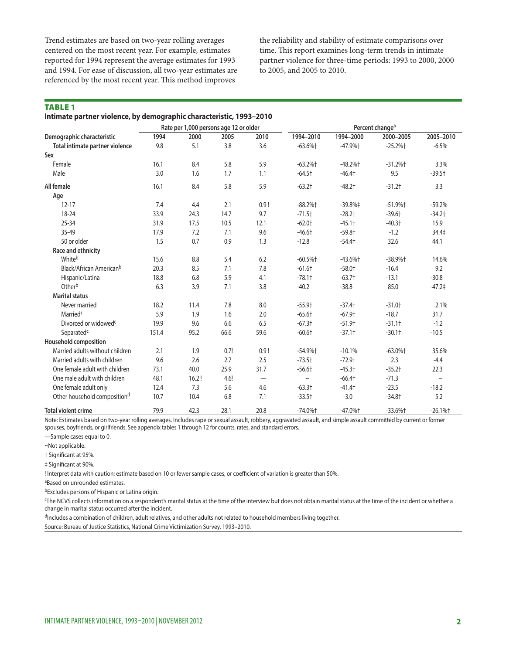Trend estimates are based on two-year rolling averages centered on the most recent year. For example, estimates reported for 1994 represent the average estimates for 1993 and 1994. For ease of discussion, all two-year estimates are referenced by the most recent year. This method improves

the reliability and stability of estimate comparisons over time. This report examines long-term trends in intimate partner violence for three-time periods: 1993 to 2000, 2000 to 2005, and 2005 to 2010.

#### **TABLE 1**

**Intimate partner violence, by demographic characteristic, 1993–2010**

|                                          |       | Rate per 1,000 persons age 12 or older |      |      | Percent change <sup>a</sup> |                      |                      |           |  |
|------------------------------------------|-------|----------------------------------------|------|------|-----------------------------|----------------------|----------------------|-----------|--|
| Demographic characteristic               | 1994  | 2000                                   | 2005 | 2010 | 1994-2010                   | 1994-2000            | 2000-2005            | 2005-2010 |  |
| Total intimate partner violence          | 9.8   | 5.1                                    | 3.8  | 3.6  | $-63.6%$ †                  | $-47.9%$ †           | $-25.2%$ †           | $-6.5%$   |  |
| Sex                                      |       |                                        |      |      |                             |                      |                      |           |  |
| Female                                   | 16.1  | 8.4                                    | 5.8  | 5.9  | $-63.2%$ †                  | $-48.2%$ †           | $-31.2%$             | 3.3%      |  |
| Male                                     | 3.0   | 1.6                                    | 1.7  | 1.1  | $-64.5$ <sup>+</sup>        | $-46.4$ <sup>+</sup> | 9.5                  | $-39.5+$  |  |
| All female                               | 16.1  | 8.4                                    | 5.8  | 5.9  | $-63.2$ <sup>+</sup>        | $-48.2$ <sup>+</sup> | $-31.2$ <sup>+</sup> | 3.3       |  |
| Age                                      |       |                                        |      |      |                             |                      |                      |           |  |
| $12 - 17$                                | 7.4   | 4.4                                    | 2.1  | 0.9! | $-88.2%$ †                  | $-39.8% \dagger$     | $-51.9%$ †           | $-59.2%$  |  |
| $18 - 24$                                | 33.9  | 24.3                                   | 14.7 | 9.7  | $-71.5+$                    | $-28.2$ <sup>+</sup> | $-39.6$ <sup>+</sup> | $-34.2$ † |  |
| $25 - 34$                                | 31.9  | 17.5                                   | 10.5 | 12.1 | $-62.0$ <sup>+</sup>        | $-45.1$ <sup>+</sup> | $-40.3$ <sup>+</sup> | 15.9      |  |
| 35-49                                    | 17.9  | 7.2                                    | 7.1  | 9.6  | $-46.6$ <sup>+</sup>        | $-59.8$ <sup>+</sup> | $-1.2$               | 34.4‡     |  |
| 50 or older                              | 1.5   | 0.7                                    | 0.9  | 1.3  | $-12.8$                     | $-54.4$ <sup>+</sup> | 32.6                 | 44.1      |  |
| Race and ethnicity                       |       |                                        |      |      |                             |                      |                      |           |  |
| Whiteb                                   | 15.6  | 8.8                                    | 5.4  | 6.2  | $-60.5%$ †                  | $-43.6\%$ +          | $-38.9%$ †           | 14.6%     |  |
| Black/African American <sup>b</sup>      | 20.3  | 8.5                                    | 7.1  | 7.8  | $-61.6$ <sup>+</sup>        | $-58.0$ <sup>+</sup> | $-16.4$              | 9.2       |  |
| Hispanic/Latina                          | 18.8  | 6.8                                    | 5.9  | 4.1  | $-78.1+$                    | $-63.7+$             | $-13.1$              | $-30.8$   |  |
| Otherb                                   | 6.3   | 3.9                                    | 7.1  | 3.8  | $-40.2$                     | $-38.8$              | 85.0                 | $-47.2‡$  |  |
| <b>Marital status</b>                    |       |                                        |      |      |                             |                      |                      |           |  |
| Never married                            | 18.2  | 11.4                                   | 7.8  | 8.0  | $-55.9$ <sup>+</sup>        | $-37.4$              | $-31.0$ <sup>+</sup> | 2.1%      |  |
| Married <sup>c</sup>                     | 5.9   | 1.9                                    | 1.6  | 2.0  | $-65.6$ <sup>+</sup>        | $-67.9$ <sup>+</sup> | $-18.7$              | 31.7      |  |
| Divorced or widowed <sup>c</sup>         | 19.9  | 9.6                                    | 6.6  | 6.5  | $-67.3+$                    | $-51.9+$             | $-31.1$ <sup>+</sup> | $-1.2$    |  |
| Separated <sup>c</sup>                   | 151.4 | 95.2                                   | 66.6 | 59.6 | $-60.6$ <sup>+</sup>        | $-37.1$              | $-30.1$ <sup>+</sup> | $-10.5$   |  |
| Household composition                    |       |                                        |      |      |                             |                      |                      |           |  |
| Married adults without children          | 2.1   | 1.9                                    | 0.7! | 0.9! | $-54.9%$ †                  | $-10.1%$             | $-63.0\%$ +          | 35.6%     |  |
| Married adults with children             | 9.6   | 2.6                                    | 2.7  | 2.5  | $-73.5+$                    | $-72.9+$             | 2.3                  | $-4.4$    |  |
| One female adult with children           | 73.1  | 40.0                                   | 25.9 | 31.7 | $-56.6$ +                   | $-45.3$ <sup>+</sup> | $-35.2$ <sup>+</sup> | 22.3      |  |
| One male adult with children             | 48.1  | 16.2!                                  | 4.6! |      | $\sim$                      | $-66.4$ <sup>+</sup> | $-71.3$              | $\sim$    |  |
| One female adult only                    | 12.4  | 7.3                                    | 5.6  | 4.6  | $-63.3+$                    | $-41.4$              | $-23.5$              | $-18.2$   |  |
| Other household composition <sup>d</sup> | 10.7  | 10.4                                   | 6.8  | 7.1  | $-33.5+$                    | $-3.0$               | $-34.8$ <sup>+</sup> | 5.2       |  |
| <b>Total violent crime</b>               | 79.9  | 42.3                                   | 28.1 | 20.8 | $-74.0\%$ <sup>+</sup>      | $-47.0\%$ t          | $-33.6%$ †           | $-26.1%$  |  |

Note: Estimates based on two-year rolling averages. Includes rape or sexual assault, robbery, aggravated assault, and simple assault committed by current or former spouses, boyfriends, or girlfriends. See appendix tables 1 through 12 for counts, rates, and standard errors.

—Sample cases equal to 0.

~Not applicable.

† Significant at 95%.

‡ Significant at 90%.

! Interpret data with caution; estimate based on 10 or fewer sample cases, or coefficient of variation is greater than 50%.

aBased on unrounded estimates.

bExcludes persons of Hispanic or Latina origin.

The NCVS collects information on a respondent's marital status at the time of the interview but does not obtain marital status at the time of the incident or whether a change in marital status occurred after the incident.

dIncludes a combination of children, adult relatives, and other adults not related to household members living together.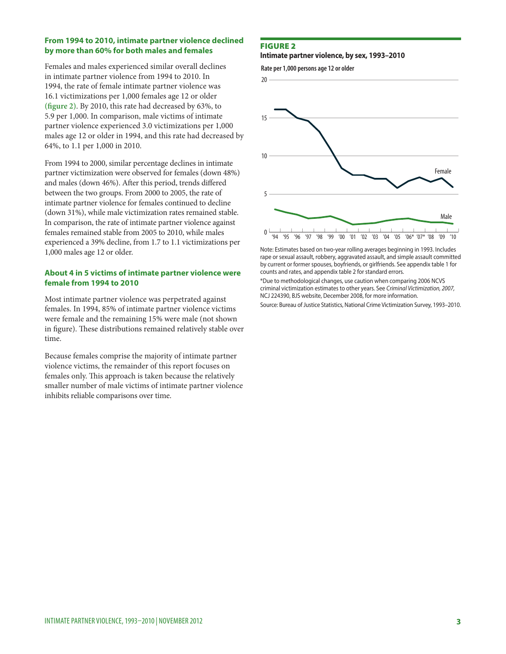# **From 1994 to 2010, intimate partner violence declined by more than 60% for both males and females**

Females and males experienced similar overall declines in intimate partner violence from 1994 to 2010. In 1994, the rate of female intimate partner violence was 16.1 victimizations per 1,000 females age 12 or older **(figure 2)**. By 2010, this rate had decreased by 63%, to 5.9 per 1,000. In comparison, male victims of intimate partner violence experienced 3.0 victimizations per 1,000 males age 12 or older in 1994, and this rate had decreased by 64%, to 1.1 per 1,000 in 2010.

From 1994 to 2000, similar percentage declines in intimate partner victimization were observed for females (down 48%) and males (down 46%). After this period, trends differed between the two groups. From 2000 to 2005, the rate of intimate partner violence for females continued to decline (down 31%), while male victimization rates remained stable. In comparison, the rate of intimate partner violence against females remained stable from 2005 to 2010, while males experienced a 39% decline, from 1.7 to 1.1 victimizations per 1,000 males age 12 or older.

## **About 4 in 5 victims of intimate partner violence were female from 1994 to 2010**

Most intimate partner violence was perpetrated against females. In 1994, 85% of intimate partner violence victims were female and the remaining 15% were male (not shown in figure). These distributions remained relatively stable over time.

Because females comprise the majority of intimate partner violence victims, the remainder of this report focuses on females only. This approach is taken because the relatively smaller number of male victims of intimate partner violence inhibits reliable comparisons over time.

#### Figure 2

**Intimate partner violence, by sex, 1993–2010**





Note: Estimates based on two-year rolling averages beginning in 1993. Includes rape or sexual assault, robbery, aggravated assault, and simple assault committed by current or former spouses, boyfriends, or girlfriends. See appendix table 1 for counts and rates, and appendix table 2 for standard errors.

\*Due to methodological changes, use caution when comparing 2006 NCVS criminal victimization estimates to other years. See *Criminal Victimization, 2007,*  NCJ 224390, BJS website, December 2008, for more information.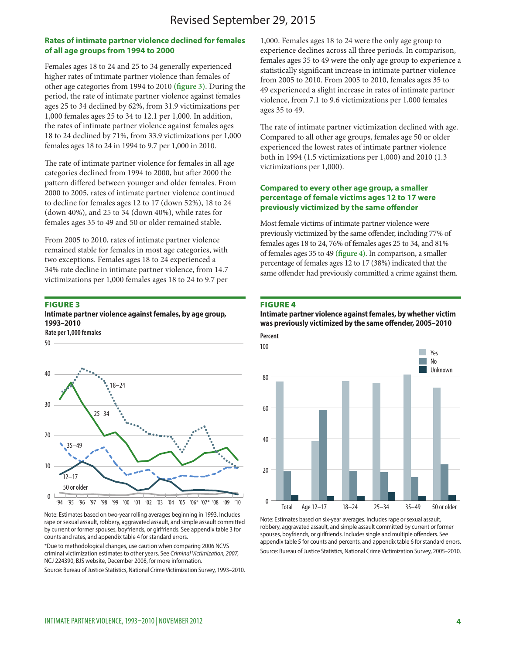# Revised September 29, 2015

#### **Rates of intimate partner violence declined for females of all age groups from 1994 to 2000**

Females ages 18 to 24 and 25 to 34 generally experienced higher rates of intimate partner violence than females of other age categories from 1994 to 2010 **(figure 3)**. During the period, the rate of intimate partner violence against females ages 25 to 34 declined by 62%, from 31.9 victimizations per 1,000 females ages 25 to 34 to 12.1 per 1,000. In addition, the rates of intimate partner violence against females ages 18 to 24 declined by 71%, from 33.9 victimizations per 1,000 females ages 18 to 24 in 1994 to 9.7 per 1,000 in 2010.

The rate of intimate partner violence for females in all age categories declined from 1994 to 2000, but after 2000 the pattern differed between younger and older females. From 2000 to 2005, rates of intimate partner violence continued to decline for females ages 12 to 17 (down 52%), 18 to 24 (down 40%), and 25 to 34 (down 40%), while rates for females ages 35 to 49 and 50 or older remained stable.

From 2005 to 2010, rates of intimate partner violence remained stable for females in most age categories, with two exceptions. Females ages 18 to 24 experienced a 34% rate decline in intimate partner violence, from 14.7 victimizations per 1,000 females ages 18 to 24 to 9.7 per

#### **FIGURE 3**

### **Intimate partner violence against females, by age group, 1993–2010**

**Rate per 1,000 females**





Note: Estimates based on two-year rolling averages beginning in 1993. Includes rape or sexual assault, robbery, aggravated assault, and simple assault committed by current or former spouses, boyfriends, or girlfriends. See appendix table 3 for counts and rates, and appendix table 4 for standard errors.

\*Due to methodological changes, use caution when comparing 2006 NCVS criminal victimization estimates to other years. See *Criminal Victimization, 2007,*  NCJ 224390, BJS website, December 2008, for more information.

Source: Bureau of Justice Statistics, National Crime Victimization Survey, 1993–2010.

1,000. Females ages 18 to 24 were the only age group to experience declines across all three periods. In comparison, females ages 35 to 49 were the only age group to experience a statistically significant increase in intimate partner violence from 2005 to 2010. From 2005 to 2010, females ages 35 to 49 experienced a slight increase in rates of intimate partner violence, from 7.1 to 9.6 victimizations per 1,000 females ages 35 to 49.

The rate of intimate partner victimization declined with age. Compared to all other age groups, females age 50 or older experienced the lowest rates of intimate partner violence both in 1994 (1.5 victimizations per 1,000) and 2010 (1.3 victimizations per 1,000).

# **Compared to every other age group, a smaller percentage of female victims ages 12 to 17 were previously victimized by the same offender**

Most female victims of intimate partner violence were previously victimized by the same offender, including 77% of females ages 18 to 24, 76% of females ages 25 to 34, and 81% of females ages 35 to 49 **(figure 4)**. In comparison, a smaller percentage of females ages 12 to 17 (38%) indicated that the same offender had previously committed a crime against them.

#### Figure 4

**Intimate partner violence against females, by whether victim was previously victimized by the same offender, 2005–2010**



Note: Estimates based on six-year averages. Includes rape or sexual assault, robbery, aggravated assault, and simple assault committed by current or former spouses, boyfriends, or girlfriends. Includes single and multiple offenders. See appendix table 5 for counts and percents, and appendix table 6 for standard errors. Source: Bureau of Justice Statistics, National Crime Victimization Survey, 2005–2010.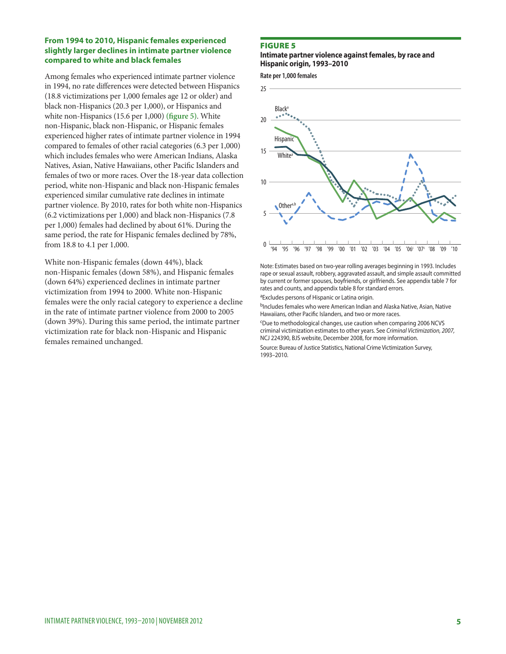## **From 1994 to 2010, Hispanic females experienced slightly larger declines in intimate partner violence compared to white and black females**

Among females who experienced intimate partner violence in 1994, no rate differences were detected between Hispanics (18.8 victimizations per 1,000 females age 12 or older) and black non-Hispanics (20.3 per 1,000), or Hispanics and white non-Hispanics (15.6 per 1,000) **(figure 5)**. White non-Hispanic, black non-Hispanic, or Hispanic females experienced higher rates of intimate partner violence in 1994 compared to females of other racial categories (6.3 per 1,000) which includes females who were American Indians, Alaska Natives, Asian, Native Hawaiians, other Pacific Islanders and females of two or more races. Over the 18-year data collection period, white non-Hispanic and black non-Hispanic females experienced similar cumulative rate declines in intimate partner violence. By 2010, rates for both white non-Hispanics (6.2 victimizations per 1,000) and black non-Hispanics (7.8 per 1,000) females had declined by about 61%. During the same period, the rate for Hispanic females declined by 78%, from 18.8 to 4.1 per 1,000.

White non-Hispanic females (down 44%), black non-Hispanic females (down 58%), and Hispanic females (down 64%) experienced declines in intimate partner victimization from 1994 to 2000. White non-Hispanic females were the only racial category to experience a decline in the rate of intimate partner violence from 2000 to 2005 (down 39%). During this same period, the intimate partner victimization rate for black non-Hispanic and Hispanic females remained unchanged.

#### Figure 5

**Intimate partner violence against females, by race and Hispanic origin, 1993–2010**

**Rate per 1,000 females**



Note: Estimates based on two-year rolling averages beginning in 1993. Includes rape or sexual assault, robbery, aggravated assault, and simple assault committed by current or former spouses, boyfriends, or girlfriends. See appendix table 7 for rates and counts, and appendix table 8 for standard errors.

aExcludes persons of Hispanic or Latina origin.

bIncludes females who were American Indian and Alaska Native, Asian, Native Hawaiians, other Pacific Islanders, and two or more races.

cDue to methodological changes, use caution when comparing 2006 NCVS criminal victimization estimates to other years. See *Criminal Victimization, 2007,*  NCJ 224390, BJS website, December 2008, for more information.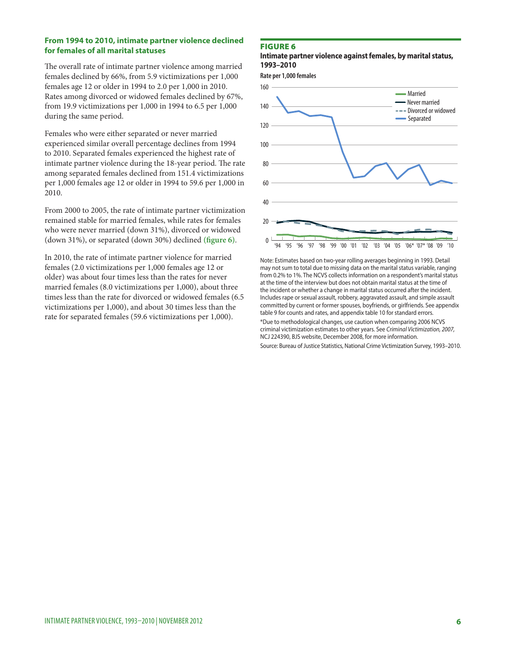# **From 1994 to 2010, intimate partner violence declined for females of all marital statuses**

The overall rate of intimate partner violence among married females declined by 66%, from 5.9 victimizations per 1,000 females age 12 or older in 1994 to 2.0 per 1,000 in 2010. Rates among divorced or widowed females declined by 67%, from 19.9 victimizations per 1,000 in 1994 to 6.5 per 1,000 during the same period.

Females who were either separated or never married experienced similar overall percentage declines from 1994 to 2010. Separated females experienced the highest rate of intimate partner violence during the 18-year period. The rate among separated females declined from 151.4 victimizations per 1,000 females age 12 or older in 1994 to 59.6 per 1,000 in 2010.

From 2000 to 2005, the rate of intimate partner victimization remained stable for married females, while rates for females who were never married (down 31%), divorced or widowed (down 31%), or separated (down 30%) declined **(figure 6)**.

In 2010, the rate of intimate partner violence for married females (2.0 victimizations per 1,000 females age 12 or older) was about four times less than the rates for never married females (8.0 victimizations per 1,000), about three times less than the rate for divorced or widowed females (6.5 victimizations per 1,000), and about 30 times less than the rate for separated females (59.6 victimizations per 1,000).

# Figure 6

#### **Intimate partner violence against females, by marital status, 1993–2010**

**Rate per 1,000 females**



Note: Estimates based on two-year rolling averages beginning in 1993. Detail may not sum to total due to missing data on the marital status variable, ranging from 0.2% to 1%. The NCVS collects information on a respondent's marital status at the time of the interview but does not obtain marital status at the time of the incident or whether a change in marital status occurred after the incident. Includes rape or sexual assault, robbery, aggravated assault, and simple assault committed by current or former spouses, boyfriends, or girlfriends. See appendix table 9 for counts and rates, and appendix table 10 for standard errors.

\*Due to methodological changes, use caution when comparing 2006 NCVS criminal victimization estimates to other years. See *Criminal Victimization, 2007,*  NCJ 224390, BJS website, December 2008, for more information.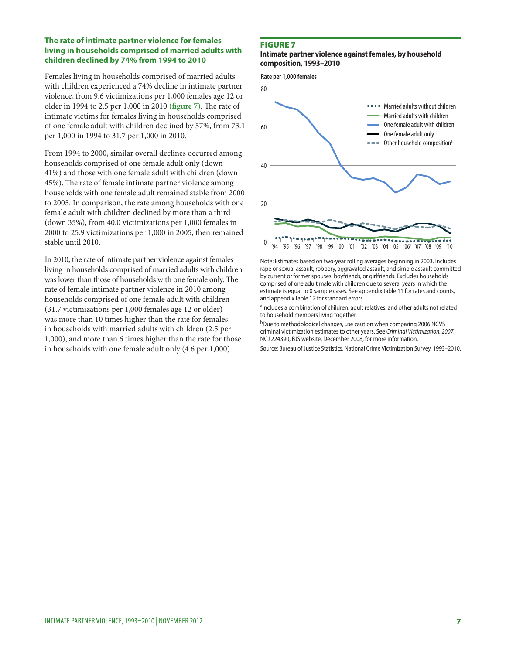# **The rate of intimate partner violence for females living in households comprised of married adults with children declined by 74% from 1994 to 2010**

Females living in households comprised of married adults with children experienced a 74% decline in intimate partner violence, from 9.6 victimizations per 1,000 females age 12 or older in 1994 to 2.5 per 1,000 in 2010 **(figure 7)**. The rate of intimate victims for females living in households comprised of one female adult with children declined by 57%, from 73.1 per 1,000 in 1994 to 31.7 per 1,000 in 2010.

From 1994 to 2000, similar overall declines occurred among households comprised of one female adult only (down 41%) and those with one female adult with children (down 45%). The rate of female intimate partner violence among households with one female adult remained stable from 2000 to 2005. In comparison, the rate among households with one female adult with children declined by more than a third (down 35%), from 40.0 victimizations per 1,000 females in 2000 to 25.9 victimizations per 1,000 in 2005, then remained stable until 2010.

In 2010, the rate of intimate partner violence against females living in households comprised of married adults with children was lower than those of households with one female only. The rate of female intimate partner violence in 2010 among households comprised of one female adult with children (31.7 victimizations per 1,000 females age 12 or older) was more than 10 times higher than the rate for females in households with married adults with children (2.5 per 1,000), and more than 6 times higher than the rate for those in households with one female adult only (4.6 per 1,000).

#### **FIGURE 7**

**Intimate partner violence against females, by household composition, 1993–2010**

**Rate per 1,000 females**



Note: Estimates based on two-year rolling averages beginning in 2003. Includes rape or sexual assault, robbery, aggravated assault, and simple assault committed by current or former spouses, boyfriends, or girlfriends. Excludes households comprised of one adult male with children due to several years in which the estimate is equal to 0 sample cases. See appendix table 11 for rates and counts, and appendix table 12 for standard errors.

aIncludes a combination of children, adult relatives, and other adults not related to household members living together.

bDue to methodological changes, use caution when comparing 2006 NCVS criminal victimization estimates to other years. See *Criminal Victimization, 2007,*  NCJ 224390, BJS website, December 2008, for more information.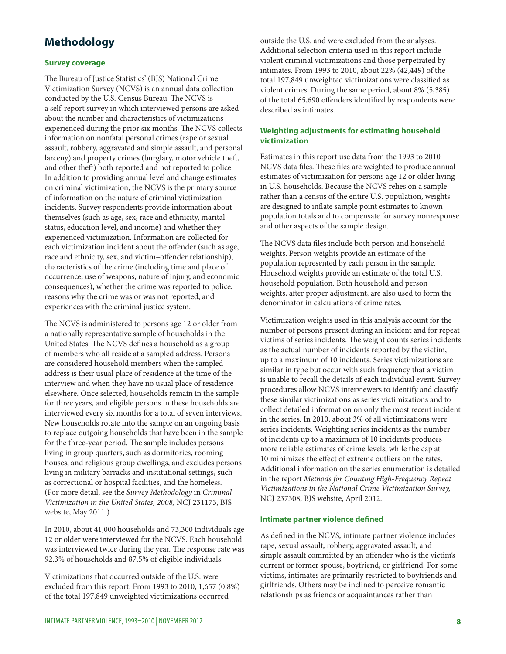# **Methodology**

# **Survey coverage**

The Bureau of Justice Statistics' (BJS) National Crime Victimization Survey (NCVS) is an annual data collection conducted by the U.S. Census Bureau. The NCVS is a self-report survey in which interviewed persons are asked about the number and characteristics of victimizations experienced during the prior six months. The NCVS collects information on nonfatal personal crimes (rape or sexual assault, robbery, aggravated and simple assault, and personal larceny) and property crimes (burglary, motor vehicle theft, and other theft) both reported and not reported to police. In addition to providing annual level and change estimates on criminal victimization, the NCVS is the primary source of information on the nature of criminal victimization incidents. Survey respondents provide information about themselves (such as age, sex, race and ethnicity, marital status, education level, and income) and whether they experienced victimization. Information are collected for each victimization incident about the offender (such as age, race and ethnicity, sex, and victim–offender relationship), characteristics of the crime (including time and place of occurrence, use of weapons, nature of injury, and economic consequences), whether the crime was reported to police, reasons why the crime was or was not reported, and experiences with the criminal justice system.

The NCVS is administered to persons age 12 or older from a nationally representative sample of households in the United States. The NCVS defines a household as a group of members who all reside at a sampled address. Persons are considered household members when the sampled address is their usual place of residence at the time of the interview and when they have no usual place of residence elsewhere. Once selected, households remain in the sample for three years, and eligible persons in these households are interviewed every six months for a total of seven interviews. New households rotate into the sample on an ongoing basis to replace outgoing households that have been in the sample for the three-year period. The sample includes persons living in group quarters, such as dormitories, rooming houses, and religious group dwellings, and excludes persons living in military barracks and institutional settings, such as correctional or hospital facilities, and the homeless. (For more detail, see the *Survey Methodology* in *Criminal Victimization in the United States, 2008,* NCJ 231173, BJS website, May 2011.)

In 2010, about 41,000 households and 73,300 individuals age 12 or older were interviewed for the NCVS. Each household was interviewed twice during the year. The response rate was 92.3% of households and 87.5% of eligible individuals.

Victimizations that occurred outside of the U.S. were excluded from this report. From 1993 to 2010, 1,657 (0.8%) of the total 197,849 unweighted victimizations occurred

outside the U.S. and were excluded from the analyses. Additional selection criteria used in this report include violent criminal victimizations and those perpetrated by intimates. From 1993 to 2010, about 22% (42,449) of the total 197,849 unweighted victimizations were classified as violent crimes. During the same period, about 8% (5,385) of the total 65,690 offenders identified by respondents were described as intimates.

# **Weighting adjustments for estimating household victimization**

Estimates in this report use data from the 1993 to 2010 NCVS data files. These files are weighted to produce annual estimates of victimization for persons age 12 or older living in U.S. households. Because the NCVS relies on a sample rather than a census of the entire U.S. population, weights are designed to inflate sample point estimates to known population totals and to compensate for survey nonresponse and other aspects of the sample design.

The NCVS data files include both person and household weights. Person weights provide an estimate of the population represented by each person in the sample. Household weights provide an estimate of the total U.S. household population. Both household and person weights, after proper adjustment, are also used to form the denominator in calculations of crime rates.

Victimization weights used in this analysis account for the number of persons present during an incident and for repeat victims of series incidents. The weight counts series incidents as the actual number of incidents reported by the victim, up to a maximum of 10 incidents. Series victimizations are similar in type but occur with such frequency that a victim is unable to recall the details of each individual event. Survey procedures allow NCVS interviewers to identify and classify these similar victimizations as series victimizations and to collect detailed information on only the most recent incident in the series. In 2010, about 3% of all victimizations were series incidents. Weighting series incidents as the number of incidents up to a maximum of 10 incidents produces more reliable estimates of crime levels, while the cap at 10 minimizes the effect of extreme outliers on the rates. Additional information on the series enumeration is detailed in the report *Methods for Counting High-Frequency Repeat Victimizations in the National Crime Victimization Survey,*  NCJ 237308, BJS website, April 2012.

# **Intimate partner violence defined**

As defined in the NCVS, intimate partner violence includes rape, sexual assault, robbery, aggravated assault, and simple assault committed by an offender who is the victim's current or former spouse, boyfriend, or girlfriend. For some victims, intimates are primarily restricted to boyfriends and girlfriends. Others may be inclined to perceive romantic relationships as friends or acquaintances rather than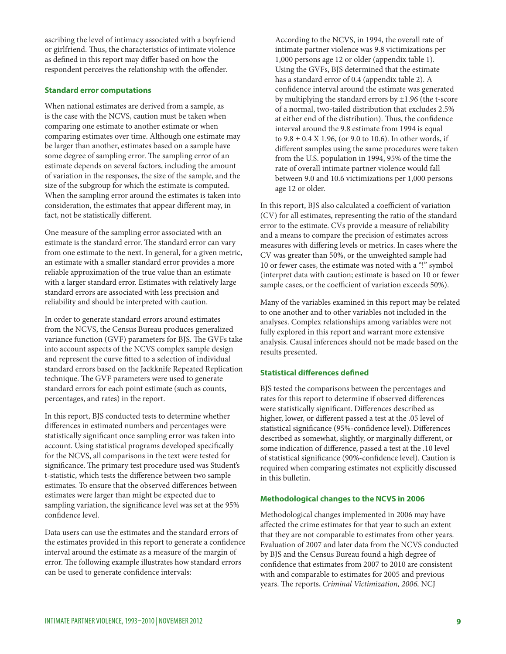ascribing the level of intimacy associated with a boyfriend or girlfriend. Thus, the characteristics of intimate violence as defined in this report may differ based on how the respondent perceives the relationship with the offender.

# **Standard error computations**

When national estimates are derived from a sample, as is the case with the NCVS, caution must be taken when comparing one estimate to another estimate or when comparing estimates over time. Although one estimate may be larger than another, estimates based on a sample have some degree of sampling error. The sampling error of an estimate depends on several factors, including the amount of variation in the responses, the size of the sample, and the size of the subgroup for which the estimate is computed. When the sampling error around the estimates is taken into consideration, the estimates that appear different may, in fact, not be statistically different.

One measure of the sampling error associated with an estimate is the standard error. The standard error can vary from one estimate to the next. In general, for a given metric, an estimate with a smaller standard error provides a more reliable approximation of the true value than an estimate with a larger standard error. Estimates with relatively large standard errors are associated with less precision and reliability and should be interpreted with caution.

In order to generate standard errors around estimates from the NCVS, the Census Bureau produces generalized variance function (GVF) parameters for BJS. The GVFs take into account aspects of the NCVS complex sample design and represent the curve fitted to a selection of individual standard errors based on the Jackknife Repeated Replication technique. The GVF parameters were used to generate standard errors for each point estimate (such as counts, percentages, and rates) in the report.

In this report, BJS conducted tests to determine whether differences in estimated numbers and percentages were statistically significant once sampling error was taken into account. Using statistical programs developed specifically for the NCVS, all comparisons in the text were tested for significance. The primary test procedure used was Student's t-statistic, which tests the difference between two sample estimates. To ensure that the observed differences between estimates were larger than might be expected due to sampling variation, the significance level was set at the 95% confidence level.

Data users can use the estimates and the standard errors of the estimates provided in this report to generate a confidence interval around the estimate as a measure of the margin of error. The following example illustrates how standard errors can be used to generate confidence intervals:

According to the NCVS, in 1994, the overall rate of intimate partner violence was 9.8 victimizations per 1,000 persons age 12 or older (appendix table 1). Using the GVFs, BJS determined that the estimate has a standard error of 0.4 (appendix table 2). A confidence interval around the estimate was generated by multiplying the standard errors by ±1.96 (the t-score of a normal, two-tailed distribution that excludes 2.5% at either end of the distribution). Thus, the confidence interval around the 9.8 estimate from 1994 is equal to  $9.8 \pm 0.4$  X 1.96, (or 9.0 to 10.6). In other words, if different samples using the same procedures were taken from the U.S. population in 1994, 95% of the time the rate of overall intimate partner violence would fall between 9.0 and 10.6 victimizations per 1,000 persons age 12 or older.

In this report, BJS also calculated a coefficient of variation (CV) for all estimates, representing the ratio of the standard error to the estimate. CVs provide a measure of reliability and a means to compare the precision of estimates across measures with differing levels or metrics. In cases where the CV was greater than 50%, or the unweighted sample had 10 or fewer cases, the estimate was noted with a "!" symbol (interpret data with caution; estimate is based on 10 or fewer sample cases, or the coefficient of variation exceeds 50%).

Many of the variables examined in this report may be related to one another and to other variables not included in the analyses. Complex relationships among variables were not fully explored in this report and warrant more extensive analysis. Causal inferences should not be made based on the results presented.

# **Statistical differences defined**

BJS tested the comparisons between the percentages and rates for this report to determine if observed differences were statistically significant. Differences described as higher, lower, or different passed a test at the .05 level of statistical significance (95%-confidence level). Differences described as somewhat, slightly, or marginally different, or some indication of difference, passed a test at the .10 level of statistical significance (90%-confidence level). Caution is required when comparing estimates not explicitly discussed in this bulletin.

# **Methodological changes to the NCVS in 2006**

Methodological changes implemented in 2006 may have affected the crime estimates for that year to such an extent that they are not comparable to estimates from other years. Evaluation of 2007 and later data from the NCVS conducted by BJS and the Census Bureau found a high degree of confidence that estimates from 2007 to 2010 are consistent with and comparable to estimates for 2005 and previous years. The reports, *Criminal Victimization, 2006,* NCJ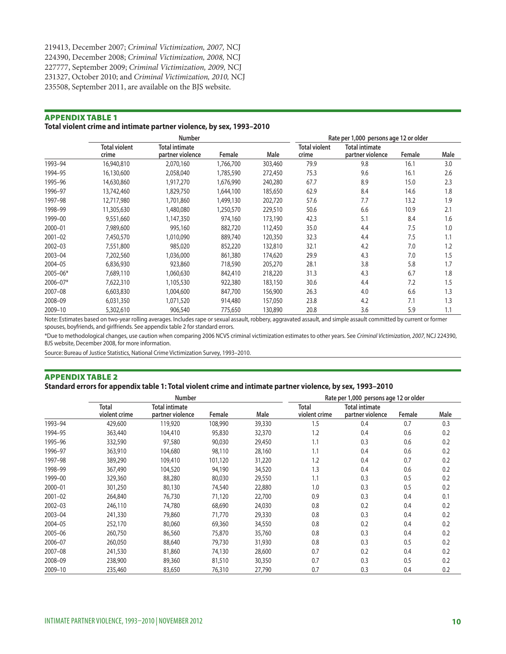219413, December 2007; *Criminal Victimization, 2007,* NCJ 224390, December 2008; *Criminal Victimization, 2008,* NCJ 227777, September 2009; *Criminal Victimization, 2009,* NCJ 231327, October 2010; and *Criminal Victimization, 2010,* NCJ 235508, September 2011, are available on the BJS website.

#### Appendix table 1

#### **Total violent crime and intimate partner violence, by sex, 1993–2010**

|             |                               | Number                                    |           | Rate per 1,000 persons age 12 or older |                               |                                           |        |      |
|-------------|-------------------------------|-------------------------------------------|-----------|----------------------------------------|-------------------------------|-------------------------------------------|--------|------|
|             | <b>Total violent</b><br>crime | <b>Total intimate</b><br>partner violence | Female    | Male                                   | <b>Total violent</b><br>crime | <b>Total intimate</b><br>partner violence | Female | Male |
| 1993-94     | 16,940,810                    | 2,070,160                                 | 1,766,700 | 303,460                                | 79.9                          | 9.8                                       | 16.1   | 3.0  |
| 1994-95     | 16,130,600                    | 2,058,040                                 | 1,785,590 | 272,450                                | 75.3                          | 9.6                                       | 16.1   | 2.6  |
| 1995-96     | 14,630,860                    | 1,917,270                                 | 1,676,990 | 240,280                                | 67.7                          | 8.9                                       | 15.0   | 2.3  |
| 1996-97     | 13,742,460                    | 1,829,750                                 | 1,644,100 | 185,650                                | 62.9                          | 8.4                                       | 14.6   | 1.8  |
| 1997-98     | 12,717,980                    | 1,701,860                                 | 1,499,130 | 202,720                                | 57.6                          | 7.7                                       | 13.2   | 1.9  |
| 1998-99     | 11,305,630                    | 1,480,080                                 | 1,250,570 | 229,510                                | 50.6                          | 6.6                                       | 10.9   | 2.1  |
| 1999-00     | 9,551,660                     | 1,147,350                                 | 974,160   | 173,190                                | 42.3                          | 5.1                                       | 8.4    | 1.6  |
| 2000-01     | 7,989,600                     | 995,160                                   | 882,720   | 112,450                                | 35.0                          | 4.4                                       | 7.5    | 1.0  |
| $2001 - 02$ | 7,450,570                     | 1,010,090                                 | 889,740   | 120,350                                | 32.3                          | 4.4                                       | 7.5    | 1.1  |
| $2002 - 03$ | 7,551,800                     | 985,020                                   | 852,220   | 132,810                                | 32.1                          | 4.2                                       | 7.0    | 1.2  |
| 2003-04     | 7,202,560                     | 1,036,000                                 | 861,380   | 174,620                                | 29.9                          | 4.3                                       | 7.0    | 1.5  |
| 2004-05     | 6,836,930                     | 923,860                                   | 718,590   | 205,270                                | 28.1                          | 3.8                                       | 5.8    | 1.7  |
| 2005-06*    | 7,689,110                     | 1,060,630                                 | 842,410   | 218,220                                | 31.3                          | 4.3                                       | 6.7    | 1.8  |
| 2006-07*    | 7,622,310                     | 1,105,530                                 | 922,380   | 183,150                                | 30.6                          | 4.4                                       | 7.2    | 1.5  |
| 2007-08     | 6,603,830                     | 1,004,600                                 | 847,700   | 156,900                                | 26.3                          | 4.0                                       | 6.6    | 1.3  |
| 2008-09     | 6,031,350                     | 1,071,520                                 | 914,480   | 157,050                                | 23.8                          | 4.2                                       | 7.1    | 1.3  |
| 2009-10     | 5,302,610                     | 906,540                                   | 775,650   | 130,890                                | 20.8                          | 3.6                                       | 5.9    | 1.1  |

Note: Estimates based on two-year rolling averages. Includes rape or sexual assault, robbery, aggravated assault, and simple assault committed by current or former spouses, boyfriends, and girlfriends. See appendix table 2 for standard errors.

\*Due to methodological changes, use caution when comparing 2006 NCVS criminal victimization estimates to other years. See *Criminal Victimization, 2007,* NCJ 224390, BJS website, December 2008, for more information.

Source: Bureau of Justice Statistics, National Crime Victimization Survey, 1993–2010.

#### Appendix table 2

#### **Standard errors for appendix table 1: Total violent crime and intimate partner violence, by sex, 1993–2010**

|             |                        | <b>Number</b>                      |         |        | Rate per 1,000 persons age 12 or older |                                           |        |      |  |  |
|-------------|------------------------|------------------------------------|---------|--------|----------------------------------------|-------------------------------------------|--------|------|--|--|
|             | Total<br>violent crime | Total intimate<br>partner violence | Female  | Male   | <b>Total</b><br>violent crime          | <b>Total intimate</b><br>partner violence | Female | Male |  |  |
| 1993-94     | 429,600                | 119,920                            | 108,990 | 39,330 | 1.5                                    | 0.4                                       | 0.7    | 0.3  |  |  |
| 1994-95     | 363,440                | 104,410                            | 95,830  | 32,370 | 1.2                                    | 0.4                                       | 0.6    | 0.2  |  |  |
| 1995-96     | 332,590                | 97,580                             | 90,030  | 29,450 | 1.1                                    | 0.3                                       | 0.6    | 0.2  |  |  |
| 1996-97     | 363,910                | 104,680                            | 98,110  | 28,160 | 1.1                                    | 0.4                                       | 0.6    | 0.2  |  |  |
| 1997-98     | 389,290                | 109,410                            | 101,120 | 31,220 | 1.2                                    | 0.4                                       | 0.7    | 0.2  |  |  |
| 1998-99     | 367,490                | 104,520                            | 94,190  | 34,520 | 1.3                                    | 0.4                                       | 0.6    | 0.2  |  |  |
| 1999-00     | 329,360                | 88,280                             | 80,030  | 29,550 | 1.1                                    | 0.3                                       | 0.5    | 0.2  |  |  |
| 2000-01     | 301,250                | 80,130                             | 74,540  | 22,880 | 1.0                                    | 0.3                                       | 0.5    | 0.2  |  |  |
| $2001 - 02$ | 264,840                | 76,730                             | 71,120  | 22,700 | 0.9                                    | 0.3                                       | 0.4    | 0.1  |  |  |
| $2002 - 03$ | 246,110                | 74,780                             | 68,690  | 24,030 | 0.8                                    | 0.2                                       | 0.4    | 0.2  |  |  |
| 2003-04     | 241,330                | 79,860                             | 71,770  | 29,330 | 0.8                                    | 0.3                                       | 0.4    | 0.2  |  |  |
| 2004-05     | 252,170                | 80,060                             | 69,360  | 34,550 | 0.8                                    | 0.2                                       | 0.4    | 0.2  |  |  |
| 2005-06     | 260,750                | 86,560                             | 75,870  | 35,760 | 0.8                                    | 0.3                                       | 0.4    | 0.2  |  |  |
| 2006-07     | 260,050                | 88,640                             | 79,730  | 31,930 | 0.8                                    | 0.3                                       | 0.5    | 0.2  |  |  |
| 2007-08     | 241,530                | 81,860                             | 74,130  | 28,600 | 0.7                                    | 0.2                                       | 0.4    | 0.2  |  |  |
| 2008-09     | 238,900                | 89,360                             | 81,510  | 30,350 | 0.7                                    | 0.3                                       | 0.5    | 0.2  |  |  |
| 2009-10     | 235,460                | 83,650                             | 76,310  | 27,790 | 0.7                                    | 0.3                                       | 0.4    | 0.2  |  |  |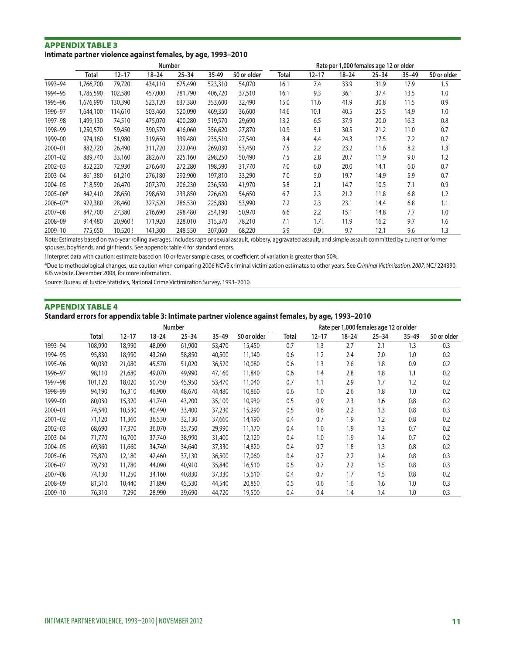| <b>APPENDIX TABLE 3</b>                                      |  |
|--------------------------------------------------------------|--|
| Intimate partner violence against females, by age, 1993-2010 |  |

|              | <b>Number</b> |           |           |           |         |             |              | Rate per 1,000 females age 12 or older |           |           |           |             |  |
|--------------|---------------|-----------|-----------|-----------|---------|-------------|--------------|----------------------------------------|-----------|-----------|-----------|-------------|--|
|              | Total         | $12 - 17$ | $18 - 24$ | $25 - 34$ | 35-49   | 50 or older | <b>Total</b> | $12 - 17$                              | $18 - 24$ | $25 - 34$ | $35 - 49$ | 50 or older |  |
| 1993-94      | 1,766,700     | 79,720    | 434,110   | 675,490   | 523,310 | 54,070      | 16.1         | 7.4                                    | 33.9      | 31.9      | 17.9      | 1.5         |  |
| 1994–95      | 1,785,590     | 102,580   | 457,000   | 781,790   | 406,720 | 37,510      | 16.1         | 9.3                                    | 36.1      | 37.4      | 13.5      | 1.0         |  |
| 1995-96      | 1,676,990     | 130,390   | 523,120   | 637,380   | 353,600 | 32,490      | 15.0         | 11.6                                   | 41.9      | 30.8      | 11.5      | 0.9         |  |
| 1996-97      | 1,644,100     | 114,610   | 503,460   | 520,090   | 469,350 | 36,600      | 14.6         | 10.1                                   | 40.5      | 25.5      | 14.9      | 1.0         |  |
| 1997-98      | ,499,130      | 74,510    | 475,070   | 400,280   | 519,570 | 29,690      | 13.2         | 6.5                                    | 37.9      | 20.0      | 16.3      | 0.8         |  |
| 1998-99      | 1,250,570     | 59,450    | 390,570   | 416,060   | 356,620 | 27,870      | 10.9         | 5.1                                    | 30.5      | 21.2      | 11.0      | 0.7         |  |
| 1999-00      | 974,160       | 51,980    | 319,650   | 339,480   | 235,510 | 27,540      | 8.4          | 4.4                                    | 24.3      | 17.5      | 7.2       | 0.7         |  |
| 2000-01      | 882,720       | 26,490    | 311,720   | 222,040   | 269,030 | 53,450      | 7.5          | 2.2                                    | 23.2      | 11.6      | 8.2       | 1.3         |  |
| $2001 - 02$  | 889,740       | 33,160    | 282,670   | 225,160   | 298,250 | 50,490      | 7.5          | 2.8                                    | 20.7      | 11.9      | 9.0       | 1.2         |  |
| $2002 - 03$  | 852,220       | 72,930    | 276,640   | 272,280   | 198,590 | 31,770      | 7.0          | 6.0                                    | 20.0      | 14.1      | 6.0       | 0.7         |  |
| 2003-04      | 861,380       | 61,210    | 276,180   | 292,900   | 197.810 | 33,290      | 7.0          | 5.0                                    | 19.7      | 14.9      | 5.9       | 0.7         |  |
| 2004-05      | 718,590       | 26,470    | 207,370   | 206,230   | 236,550 | 41,970      | 5.8          | 2.1                                    | 14.7      | 10.5      | 7.1       | 0.9         |  |
| $2005 - 06*$ | 842,410       | 28,650    | 298,630   | 233,850   | 226,620 | 54,650      | 6.7          | 2.3                                    | 21.2      | 11.8      | 6.8       | 1.2         |  |
| $2006 - 07*$ | 922,380       | 28,460    | 327,520   | 286,530   | 225,880 | 53,990      | 7.2          | 2.3                                    | 23.1      | 14.4      | 6.8       | 1.1         |  |
| 2007-08      | 847,700       | 27,380    | 216,690   | 298,480   | 254,190 | 50,970      | 6.6          | 2.2                                    | 15.1      | 14.8      | 7.7       | 1.0         |  |
| 2008-09      | 914,480       | 20,960!   | 171,920   | 328,010   | 315,370 | 78,210      | 7.1          | 1.7!                                   | 11.9      | 16.2      | 9.7       | 1.6         |  |
| 2009-10      | 775,650       | 10,520!   | 141,300   | 248,550   | 307,060 | 68,220      | 5.9          | 0.9!                                   | 9.7       | 12.1      | 9.6       | 1.3         |  |

Note: Estimates based on two-year rolling averages. Includes rape or sexual assault, robbery, aggravated assault, and simple assault committed by current or former spouses, boyfriends, and girlfriends. See appendix table 4 for standard errors.

! Interpret data with caution; estimate based on 10 or fewer sample cases, or coefficient of variation is greater than 50%.

\*Due to methodological changes, use caution when comparing 2006 NCVS criminal victimization estimates to other years. See *Criminal Victimization, 2007,* NCJ 224390, BJS website, December 2008, for more information.

Source: Bureau of Justice Statistics, National Crime Victimization Survey, 1993–2010.

## Appendix table 4

#### **Standard errors for appendix table 3: Intimate partner violence against females, by age, 1993–2010**

|             |              |           | Rate per 1,000 females age 12 or older |           |           |             |       |           |           |           |           |             |
|-------------|--------------|-----------|----------------------------------------|-----------|-----------|-------------|-------|-----------|-----------|-----------|-----------|-------------|
|             | <b>Total</b> | $12 - 17$ | $18 - 24$                              | $25 - 34$ | $35 - 49$ | 50 or older | Total | $12 - 17$ | $18 - 24$ | $25 - 34$ | $35 - 49$ | 50 or older |
| 1993-94     | 108,990      | 18,990    | 48,090                                 | 61,900    | 53,470    | 15,450      | 0.7   | 1.3       | 2.7       | 2.1       | 1.3       | 0.3         |
| 1994-95     | 95,830       | 18,990    | 43,260                                 | 58,850    | 40,500    | 11,140      | 0.6   | 1.2       | 2.4       | 2.0       | 1.0       | 0.2         |
| 1995-96     | 90,030       | 21,080    | 45,570                                 | 51,020    | 36,520    | 10,080      | 0.6   | 1.3       | 2.6       | 1.8       | 0.9       | 0.2         |
| 1996-97     | 98,110       | 21,680    | 49,070                                 | 49,990    | 47,160    | 11,840      | 0.6   | 1.4       | 2.8       | 1.8       | 1.1       | 0.2         |
| 1997–98     | 101,120      | 18,020    | 50,750                                 | 45,950    | 53,470    | 11,040      | 0.7   | 1.1       | 2.9       | 1.7       | 1.2       | 0.2         |
| 1998-99     | 94,190       | 16,310    | 46,900                                 | 48,670    | 44,480    | 10,860      | 0.6   | 1.0       | 2.6       | 1.8       | 1.0       | 0.2         |
| 1999-00     | 80,030       | 15,320    | 41,740                                 | 43,200    | 35,100    | 10,930      | 0.5   | 0.9       | 2.3       | 1.6       | 0.8       | 0.2         |
| 2000-01     | 74,540       | 10,530    | 40,490                                 | 33,400    | 37,230    | 15,290      | 0.5   | 0.6       | 2.2       | 1.3       | 0.8       | 0.3         |
| $2001 - 02$ | 71,120       | 11,360    | 36,530                                 | 32,130    | 37,660    | 14,190      | 0.4   | 0.7       | 1.9       | 1.2       | 0.8       | 0.2         |
| $2002 - 03$ | 68,690       | 17,370    | 36,070                                 | 35,750    | 29,990    | 11,170      | 0.4   | 1.0       | 1.9       | 1.3       | 0.7       | 0.2         |
| 2003-04     | 71,770       | 16,700    | 37,740                                 | 38,990    | 31,400    | 12,120      | 0.4   | 1.0       | 1.9       | 1.4       | 0.7       | 0.2         |
| 2004-05     | 69,360       | 11,660    | 34,740                                 | 34,640    | 37,330    | 14,820      | 0.4   | 0.7       | 1.8       | 1.3       | 0.8       | 0.2         |
| 2005-06     | 75,870       | 12,180    | 42,460                                 | 37,130    | 36,500    | 17,060      | 0.4   | 0.7       | 2.2       | 1.4       | 0.8       | 0.3         |
| 2006-07     | 79,730       | 11,780    | 44,090                                 | 40,910    | 35,840    | 16,510      | 0.5   | 0.7       | 2.2       | 1.5       | 0.8       | 0.3         |
| 2007-08     | 74,130       | 11,250    | 34,160                                 | 40,830    | 37,330    | 15,610      | 0.4   | 0.7       | 1.7       | 1.5       | 0.8       | 0.2         |
| 2008-09     | 81,510       | 10,440    | 31,890                                 | 45,530    | 44,540    | 20,850      | 0.5   | 0.6       | 1.6       | 1.6       | 1.0       | 0.3         |
| 2009-10     | 76,310       | 7.290     | 28,990                                 | 39,690    | 44,720    | 19,500      | 0.4   | 0.4       | 1.4       | 1.4       | 1.0       | 0.3         |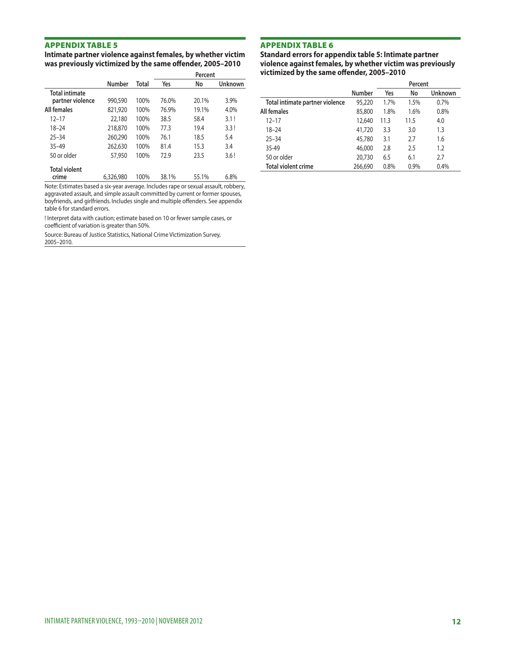#### Appendix table 5

#### **Intimate partner violence against females, by whether victim was previously victimized by the same offender, 2005–2010**

|                       |           |       |       | Percent |                |
|-----------------------|-----------|-------|-------|---------|----------------|
|                       | Number    | Total | Yes   | No      | <b>Unknown</b> |
| <b>Total intimate</b> |           |       |       |         |                |
| partner violence      | 990,590   | 100%  | 76.0% | 20.1%   | 3.9%           |
| All females           | 821,920   | 100%  | 76.9% | 19.1%   | 4.0%           |
| $12 - 17$             | 22,180    | 100%  | 38.5  | 58.4    | 3.1!           |
| $18 - 24$             | 218,870   | 100%  | 77.3  | 19.4    | 3.3!           |
| $25 - 34$             | 260,290   | 100%  | 76.1  | 18.5    | 5.4            |
| $35 - 49$             | 262,630   | 100%  | 81.4  | 15.3    | 3.4            |
| 50 or older           | 57,950    | 100%  | 72.9  | 23.5    | 3.6!           |
| <b>Total violent</b>  |           |       |       |         |                |
| crime                 | 6,326,980 | 100%  | 38.1% | 55.1%   | 6.8%           |

Note: Estimates based a six-year average. Includes rape or sexual assault, robbery, aggravated assault, and simple assault committed by current or former spouses, boyfriends, and girlfriends. Includes single and multiple offenders. See appendix table 6 for standard errors.

! Interpret data with caution; estimate based on 10 or fewer sample cases, or coefficient of variation is greater than 50%.

Source: Bureau of Justice Statistics, National Crime Victimization Survey, 2005–2010.

#### Appendix table 6

**Standard errors for appendix table 5: Intimate partner violence against females, by whether victim was previously victimized by the same offender, 2005–2010**

|                                 |         | Percent |      |         |  |  |  |  |
|---------------------------------|---------|---------|------|---------|--|--|--|--|
|                                 | Number  | Yes     | No   | Unknown |  |  |  |  |
| Total intimate partner violence | 95,220  | 1.7%    | 1.5% | 0.7%    |  |  |  |  |
| All females                     | 85,800  | 1.8%    | 1.6% | 0.8%    |  |  |  |  |
| $12 - 17$                       | 12,640  | 11.3    | 11.5 | 4.0     |  |  |  |  |
| $18 - 24$                       | 41,720  | 3.3     | 3.0  | 1.3     |  |  |  |  |
| $25 - 34$                       | 45,780  | 3.1     | 2.7  | 1.6     |  |  |  |  |
| 35-49                           | 46,000  | 2.8     | 2.5  | 1.2     |  |  |  |  |
| 50 or older                     | 20,730  | 6.5     | 6.1  | 2.7     |  |  |  |  |
| <b>Total violent crime</b>      | 266,690 | 0.8%    | 0.9% | 0.4%    |  |  |  |  |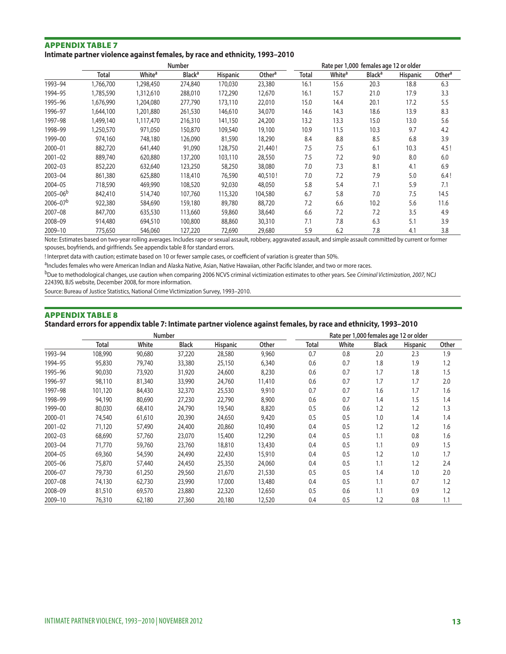#### Appendix table 7 **Intimate partner violence against females, by race and ethnicity, 1993–2010**

|              |           |                    | Number                   |                 |                    | Rate per 1,000 females age 12 or older |                    |                          |                 |                    |  |
|--------------|-----------|--------------------|--------------------------|-----------------|--------------------|----------------------------------------|--------------------|--------------------------|-----------------|--------------------|--|
|              | Total     | White <sup>a</sup> | <b>Black<sup>a</sup></b> | <b>Hispanic</b> | Other <sup>a</sup> | <b>Total</b>                           | White <sup>a</sup> | <b>Black<sup>a</sup></b> | <b>Hispanic</b> | Other <sup>a</sup> |  |
| 1993-94      | 1,766,700 | 1,298,450          | 274,840                  | 170,030         | 23,380             | 16.1                                   | 15.6               | 20.3                     | 18.8            | 6.3                |  |
| 1994-95      | 1,785,590 | 1,312,610          | 288,010                  | 172,290         | 12,670             | 16.1                                   | 15.7               | 21.0                     | 17.9            | 3.3                |  |
| 1995-96      | 1,676,990 | 1,204,080          | 277,790                  | 173,110         | 22,010             | 15.0                                   | 14.4               | 20.1                     | 17.2            | 5.5                |  |
| 1996-97      | 1,644,100 | 1,201,880          | 261,530                  | 146,610         | 34,070             | 14.6                                   | 14.3               | 18.6                     | 13.9            | 8.3                |  |
| 1997-98      | 1,499,140 | 1,117,470          | 216,310                  | 141,150         | 24,200             | 13.2                                   | 13.3               | 15.0                     | 13.0            | 5.6                |  |
| 1998-99      | 1,250,570 | 971,050            | 150,870                  | 109,540         | 19,100             | 10.9                                   | 11.5               | 10.3                     | 9.7             | 4.2                |  |
| 1999-00      | 974,160   | 748,180            | 126,090                  | 81,590          | 18,290             | 8.4                                    | 8.8                | 8.5                      | 6.8             | 3.9                |  |
| 2000-01      | 882,720   | 641,440            | 91,090                   | 128,750         | 21,440!            | 7.5                                    | 7.5                | 6.1                      | 10.3            | 4.5!               |  |
| $2001 - 02$  | 889,740   | 620,880            | 137,200                  | 103,110         | 28,550             | 7.5                                    | 7.2                | 9.0                      | 8.0             | 6.0                |  |
| $2002 - 03$  | 852,220   | 632,640            | 123,250                  | 58,250          | 38,080             | 7.0                                    | 7.3                | 8.1                      | 4.1             | 6.9                |  |
| 2003-04      | 861,380   | 625,880            | 118,410                  | 76,590          | 40,510!            | 7.0                                    | 7.2                | 7.9                      | 5.0             | 6.4!               |  |
| 2004-05      | 718,590   | 469,990            | 108,520                  | 92,030          | 48,050             | 5.8                                    | 5.4                | 7.1                      | 5.9             | 7.1                |  |
| $2005 - 06b$ | 842,410   | 514,740            | 107,760                  | 115,320         | 104,580            | 6.7                                    | 5.8                | 7.0                      | 7.5             | 14.5               |  |
| $2006 - 07b$ | 922,380   | 584,690            | 159,180                  | 89,780          | 88,720             | 7.2                                    | 6.6                | 10.2                     | 5.6             | 11.6               |  |
| 2007-08      | 847,700   | 635,530            | 113,660                  | 59,860          | 38,640             | 6.6                                    | 7.2                | 7.2                      | 3.5             | 4.9                |  |
| 2008-09      | 914,480   | 694,510            | 100,800                  | 88,860          | 30,310             | 7.1                                    | 7.8                | 6.3                      | 5.1             | 3.9                |  |
| 2009-10      | 775,650   | 546,060            | 127,220                  | 72,690          | 29,680             | 5.9                                    | 6.2                | 7.8                      | 4.1             | 3.8                |  |

Note: Estimates based on two-year rolling averages. Includes rape or sexual assault, robbery, aggravated assault, and simple assault committed by current or former spouses, boyfriends, and girlfriends. See appendix table 8 for standard errors.

! Interpret data with caution; estimate based on 10 or fewer sample cases, or coefficient of variation is greater than 50%.

a<sub>Includes</sub> females who were American Indian and Alaska Native, Asian, Native Hawaiian, other Pacific Islander, and two or more races.

bDue to methodological changes, use caution when comparing 2006 NCVS criminal victimization estimates to other years. See *Criminal Victimization, 2007,* NCJ 224390, BJS website, December 2008, for more information.

Source: Bureau of Justice Statistics, National Crime Victimization Survey, 1993–2010.

#### Appendix table 8

**Standard errors for appendix table 7: Intimate partner violence against females, by race and ethnicity, 1993–2010**

|             |         | <b>Number</b> |              |                 |        | Rate per 1,000 females age 12 or older |       |              |                 |       |  |
|-------------|---------|---------------|--------------|-----------------|--------|----------------------------------------|-------|--------------|-----------------|-------|--|
|             | Total   | White         | <b>Black</b> | <b>Hispanic</b> | Other  | <b>Total</b>                           | White | <b>Black</b> | <b>Hispanic</b> | Other |  |
| 1993-94     | 108,990 | 90,680        | 37,220       | 28,580          | 9,960  | 0.7                                    | 0.8   | 2.0          | 2.3             | 1.9   |  |
| 1994-95     | 95,830  | 79,740        | 33,380       | 25,150          | 6,340  | 0.6                                    | 0.7   | 1.8          | 1.9             | 1.2   |  |
| 1995-96     | 90,030  | 73,920        | 31,920       | 24,600          | 8,230  | 0.6                                    | 0.7   | 1.7          | 1.8             | 1.5   |  |
| 1996-97     | 98,110  | 81,340        | 33,990       | 24,760          | 11,410 | 0.6                                    | 0.7   | 1.7          | 1.7             | 2.0   |  |
| 1997-98     | 101,120 | 84,430        | 32,370       | 25,530          | 9,910  | 0.7                                    | 0.7   | 1.6          | 1.7             | 1.6   |  |
| 1998-99     | 94,190  | 80,690        | 27,230       | 22,790          | 8,900  | 0.6                                    | 0.7   | 1.4          | 1.5             | 1.4   |  |
| 1999-00     | 80,030  | 68,410        | 24,790       | 19,540          | 8,820  | 0.5                                    | 0.6   | 1.2          | 1.2             | 1.3   |  |
| $2000 - 01$ | 74,540  | 61,610        | 20,390       | 24,650          | 9,420  | 0.5                                    | 0.5   | 1.0          | 1.4             | 1.4   |  |
| $2001 - 02$ | 71,120  | 57,490        | 24,400       | 20,860          | 10,490 | 0.4                                    | 0.5   | 1.2          | 1.2             | 1.6   |  |
| 2002-03     | 68,690  | 57,760        | 23,070       | 15,400          | 12,290 | 0.4                                    | 0.5   | 1.1          | 0.8             | 1.6   |  |
| 2003-04     | 71,770  | 59,760        | 23,760       | 18,810          | 13,430 | 0.4                                    | 0.5   | 1.1          | 0.9             | 1.5   |  |
| 2004-05     | 69,360  | 54,590        | 24,490       | 22,430          | 15,910 | 0.4                                    | 0.5   | 1.2          | 1.0             | 1.7   |  |
| 2005-06     | 75,870  | 57,440        | 24,450       | 25,350          | 24,060 | 0.4                                    | 0.5   | 1.1          | 1.2             | 2.4   |  |
| 2006-07     | 79,730  | 61,250        | 29,560       | 21,670          | 21,530 | 0.5                                    | 0.5   | 1.4          | 1.0             | 2.0   |  |
| 2007-08     | 74,130  | 62,730        | 23,990       | 17,000          | 13,480 | 0.4                                    | 0.5   | 1.1          | 0.7             | 1.2   |  |
| 2008-09     | 81,510  | 69,570        | 23,880       | 22,320          | 12,650 | 0.5                                    | 0.6   | 1.1          | 0.9             | 1.2   |  |
| 2009-10     | 76,310  | 62,180        | 27,360       | 20,180          | 12,520 | 0.4                                    | 0.5   | 1.2          | 0.8             | 1.1   |  |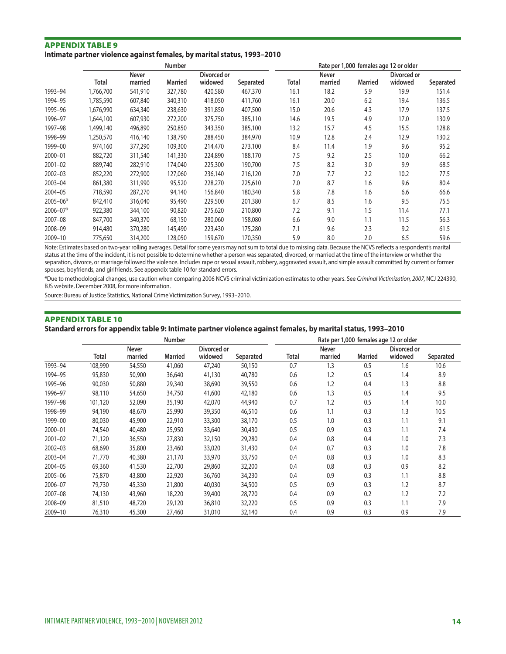#### Appendix table 9 **Intimate partner violence against females, by marital status, 1993–2010**

|              |           |         | <b>Number</b> |             |           | Rate per 1,000 females age 12 or older |              |         |             |           |  |
|--------------|-----------|---------|---------------|-------------|-----------|----------------------------------------|--------------|---------|-------------|-----------|--|
|              |           | Never   |               | Divorced or |           |                                        | <b>Never</b> |         | Divorced or |           |  |
|              | Total     | married | Married       | widowed     | Separated | Total                                  | married      | Married | widowed     | Separated |  |
| 1993-94      | 1,766,700 | 541,910 | 327,780       | 420,580     | 467,370   | 16.1                                   | 18.2         | 5.9     | 19.9        | 151.4     |  |
| 1994-95      | 1,785,590 | 607,840 | 340,310       | 418,050     | 411,760   | 16.1                                   | 20.0         | 6.2     | 19.4        | 136.5     |  |
| 1995-96      | 1,676,990 | 634,340 | 238,630       | 391,850     | 407,500   | 15.0                                   | 20.6         | 4.3     | 17.9        | 137.5     |  |
| 1996-97      | 1,644,100 | 607,930 | 272,200       | 375,750     | 385,110   | 14.6                                   | 19.5         | 4.9     | 17.0        | 130.9     |  |
| 1997-98      | 1,499,140 | 496,890 | 250,850       | 343,350     | 385,100   | 13.2                                   | 15.7         | 4.5     | 15.5        | 128.8     |  |
| 1998-99      | 1,250,570 | 416,140 | 138,790       | 288,450     | 384,970   | 10.9                                   | 12.8         | 2.4     | 12.9        | 130.2     |  |
| 1999-00      | 974,160   | 377,290 | 109,300       | 214,470     | 273,100   | 8.4                                    | 11.4         | 1.9     | 9.6         | 95.2      |  |
| 2000-01      | 882,720   | 311,540 | 141,330       | 224,890     | 188,170   | 7.5                                    | 9.2          | 2.5     | 10.0        | 66.2      |  |
| $2001 - 02$  | 889,740   | 282,910 | 174,040       | 225,300     | 190,700   | 7.5                                    | 8.2          | 3.0     | 9.9         | 68.5      |  |
| $2002 - 03$  | 852,220   | 272,900 | 127,060       | 236,140     | 216,120   | 7.0                                    | 7.7          | 2.2     | 10.2        | 77.5      |  |
| $2003 - 04$  | 861,380   | 311,990 | 95,520        | 228,270     | 225,610   | 7.0                                    | 8.7          | 1.6     | 9.6         | 80.4      |  |
| 2004-05      | 718,590   | 287,270 | 94,140        | 156,840     | 180,340   | 5.8                                    | 7.8          | 1.6     | 6.6         | 66.6      |  |
| $2005 - 06*$ | 842,410   | 316,040 | 95,490        | 229,500     | 201,380   | 6.7                                    | 8.5          | 1.6     | 9.5         | 75.5      |  |
| $2006 - 07*$ | 922,380   | 344,100 | 90,820        | 275,620     | 210,800   | 7.2                                    | 9.1          | 1.5     | 11.4        | 77.1      |  |
| 2007-08      | 847,700   | 340,370 | 68,150        | 280,060     | 158,080   | 6.6                                    | 9.0          | 1.1     | 11.5        | 56.3      |  |
| 2008-09      | 914,480   | 370,280 | 145,490       | 223,430     | 175,280   | 7.1                                    | 9.6          | 2.3     | 9.2         | 61.5      |  |
| 2009-10      | 775,650   | 314,200 | 128,050       | 159,670     | 170,350   | 5.9                                    | 8.0          | 2.0     | 6.5         | 59.6      |  |

Note: Estimates based on two-year rolling averages. Detail for some years may not sum to total due to missing data. Because the NCVS reflects a respondent's marital status at the time of the incident, it is not possible to determine whether a person was separated, divorced, or married at the time of the interview or whether the separation, divorce, or marriage followed the violence. Includes rape or sexual assault, robbery, aggravated assault, and simple assault committed by current or former spouses, boyfriends, and girlfriends. See appendix table 10 for standard errors.

\*Due to methodological changes, use caution when comparing 2006 NCVS criminal victimization estimates to other years. See *Criminal Victimization, 2007,* NCJ 224390, BJS website, December 2008, for more information.

Source: Bureau of Justice Statistics, National Crime Victimization Survey, 1993–2010.

#### Appendix table 10

**Standard errors for appendix table 9: Intimate partner violence against females, by marital status, 1993–2010**

|             |         |                  | <b>Number</b> |                        |           | Rate per 1,000 females age 12 or older |                  |         |                        |                   |  |
|-------------|---------|------------------|---------------|------------------------|-----------|----------------------------------------|------------------|---------|------------------------|-------------------|--|
|             | Total   | Never<br>married | Married       | Divorced or<br>widowed | Separated | Total                                  | Never<br>married | Married | Divorced or<br>widowed |                   |  |
| 1993-94     | 108,990 | 54,550           | 41,060        | 47,240                 | 50,150    | 0.7                                    | 1.3              | 0.5     | 1.6                    | Separated<br>10.6 |  |
| 1994-95     | 95,830  | 50,900           | 36,640        | 41,130                 | 40,780    | 0.6                                    | 1.2              | 0.5     | 1.4                    | 8.9               |  |
| 1995-96     | 90,030  | 50,880           | 29,340        | 38,690                 | 39,550    | 0.6                                    | 1.2              | 0.4     | 1.3                    | 8.8               |  |
| 1996-97     | 98,110  | 54,650           | 34,750        | 41,600                 | 42,180    | 0.6                                    | 1.3              | 0.5     | 1.4                    | 9.5               |  |
| 1997-98     | 101,120 | 52,090           | 35,190        | 42,070                 | 44,940    | 0.7                                    | 1.2              | 0.5     | 1.4                    | 10.0              |  |
| 1998-99     | 94,190  | 48,670           | 25,990        | 39,350                 | 46,510    | 0.6                                    | 1.1              | 0.3     | 1.3                    | 10.5              |  |
| 1999-00     | 80,030  | 45,900           | 22,910        | 33,300                 | 38,170    | 0.5                                    | 1.0              | 0.3     | 1.1                    | 9.1               |  |
| 2000-01     | 74,540  | 40,480           | 25,950        | 33,640                 | 30,430    | 0.5                                    | 0.9              | 0.3     | 1.1                    | 7.4               |  |
| $2001 - 02$ | 71,120  | 36,550           | 27,830        | 32,150                 | 29,280    | 0.4                                    | 0.8              | 0.4     | 1.0                    | 7.3               |  |
| $2002 - 03$ | 68,690  | 35,800           | 23,460        | 33,020                 | 31,430    | 0.4                                    | 0.7              | 0.3     | 1.0                    | 7.8               |  |
| 2003-04     | 71,770  | 40,380           | 21,170        | 33,970                 | 33,750    | 0.4                                    | 0.8              | 0.3     | 1.0                    | 8.3               |  |
| 2004-05     | 69,360  | 41,530           | 22,700        | 29,860                 | 32,200    | 0.4                                    | 0.8              | 0.3     | 0.9                    | 8.2               |  |
| 2005-06     | 75,870  | 43,800           | 22,920        | 36,760                 | 34,230    | 0.4                                    | 0.9              | 0.3     | 1.1                    | 8.8               |  |
| 2006-07     | 79,730  | 45,330           | 21,800        | 40,030                 | 34,500    | 0.5                                    | 0.9              | 0.3     | 1.2                    | 8.7               |  |
| 2007-08     | 74,130  | 43,960           | 18,220        | 39,400                 | 28,720    | 0.4                                    | 0.9              | 0.2     | 1.2                    | 7.2               |  |
| 2008-09     | 81,510  | 48,720           | 29,120        | 36,810                 | 32,220    | 0.5                                    | 0.9              | 0.3     | 1.1                    | 7.9               |  |
| 2009-10     | 76,310  | 45,300           | 27,460        | 31,010                 | 32,140    | 0.4                                    | 0.9              | 0.3     | 0.9                    | 7.9               |  |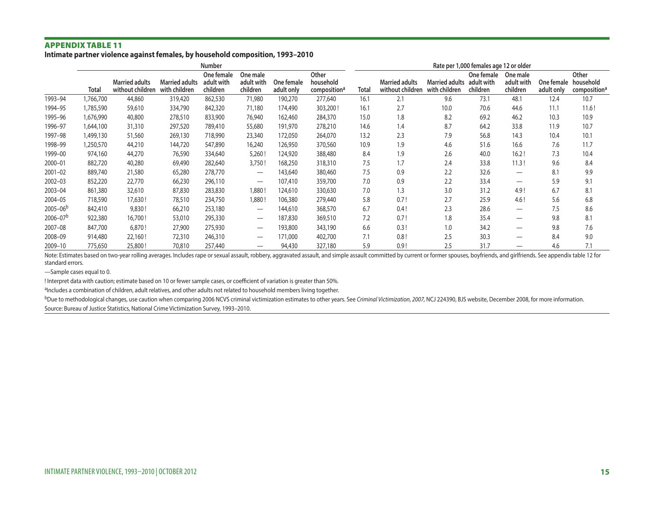#### Appendix table 11

**Intimate partner violence against females, by household composition, 1993–2010**

|              | <b>Number</b> |                                           |                                        |                                      |                                    |                          |                                                |              | Rate per 1,000 females age 12 or older    |                                        |                                      |                                    |                          |                                                |  |  |
|--------------|---------------|-------------------------------------------|----------------------------------------|--------------------------------------|------------------------------------|--------------------------|------------------------------------------------|--------------|-------------------------------------------|----------------------------------------|--------------------------------------|------------------------------------|--------------------------|------------------------------------------------|--|--|
|              | <b>Total</b>  | <b>Married adults</b><br>without children | <b>Married adults</b><br>with children | One female<br>adult with<br>children | One male<br>adult with<br>children | One female<br>adult only | Other<br>household<br>composition <sup>a</sup> | <b>Total</b> | <b>Married adults</b><br>without children | <b>Married adults</b><br>with children | One female<br>adult with<br>children | One male<br>adult with<br>children | One female<br>adult only | Other<br>household<br>composition <sup>a</sup> |  |  |
| 1993–94      | 1,766,700     | 44,860                                    | 319,420                                | 862,530                              | 71,980                             | 190,270                  | 277,640                                        | 16.1         | 2.1                                       | 9.6                                    | 73.1                                 | 48.1                               | 12.4                     | 10.7                                           |  |  |
| 1994-95      | 1,785,590     | 59,610                                    | 334,790                                | 842,320                              | 71,180                             | 174,490                  | 303,200!                                       | 16.1         | 2.7                                       | 10.0                                   | 70.6                                 | 44.6                               | 11.1                     | 11.6!                                          |  |  |
| 1995-96      | 1,676,990     | 40,800                                    | 278,510                                | 833,900                              | 76,940                             | 162,460                  | 284,370                                        | 15.0         | 1.8                                       | 8.2                                    | 69.2                                 | 46.2                               | 10.3                     | 10.9                                           |  |  |
| 1996-97      | 1,644,100     | 31,310                                    | 297,520                                | 789,410                              | 55,680                             | 191,970                  | 278,210                                        | 14.6         | 1.4                                       | 8.7                                    | 64.2                                 | 33.8                               | 11.9                     | 10.7                                           |  |  |
| 1997-98      | 1,499,130     | 51,560                                    | 269,130                                | 718,990                              | 23,340                             | 172,050                  | 264,070                                        | 13.2         | 2.3                                       | 7.9                                    | 56.8                                 | 14.3                               | 10.4                     | 10.1                                           |  |  |
| 1998–99      | 1,250,570     | 44,210                                    | 144,720                                | 547,890                              | 16,240                             | 126,950                  | 370,560                                        | 10.9         | 1.9                                       | 4.6                                    | 51.6                                 | 16.6                               | 7.6                      | 11.7                                           |  |  |
| 1999-00      | 974,160       | 44,270                                    | 76,590                                 | 334,640                              | 5,260!                             | 124,920                  | 388,480                                        | 8.4          | 1.9                                       | 2.6                                    | 40.0                                 | 16.2!                              | 7.3                      | 10.4                                           |  |  |
| 2000-01      | 882,720       | 40,280                                    | 69,490                                 | 282,640                              | 3,750!                             | 168,250                  | 318,310                                        | 7.5          | 1.7                                       | 2.4                                    | 33.8                                 | 11.3!                              | 9.6                      | 8.4                                            |  |  |
| $2001 - 02$  | 889,740       | 21,580                                    | 65,280                                 | 278,770                              | $\hspace{0.1mm}-\hspace{0.1mm}$    | 143,640                  | 380,460                                        | 7.5          | 0.9                                       | 2.2                                    | 32.6                                 |                                    | 8.1                      | 9.9                                            |  |  |
| $2002 - 03$  | 852,220       | 22,770                                    | 66,230                                 | 296,110                              | —                                  | 107,410                  | 359,700                                        | 7.0          | 0.9                                       | 2.2                                    | 33.4                                 | $\overline{\phantom{0}}$           | 5.9                      | 9.1                                            |  |  |
| 2003-04      | 861,380       | 32,610                                    | 87,830                                 | 283,830                              | !880!                              | 124,610                  | 330,630                                        | 7.0          | 1.3                                       | 3.0                                    | 31.2                                 | 4.9!                               | 6.7                      | 8.1                                            |  |  |
| 2004-05      | 718,590       | 17,630!                                   | 78,510                                 | 234,750                              | ! 880,                             | 106,380                  | 279,440                                        | 5.8          | 0.7!                                      | 2.7                                    | 25.9                                 | 4.6!                               | 5.6                      | 6.8                                            |  |  |
| $2005 - 06b$ | 842,410       | 9,830!                                    | 66,210                                 | 253,180                              | —                                  | 144,610                  | 368,570                                        | 6.7          | 0.4!                                      | 2.3                                    | 28.6                                 |                                    | 7.5                      | 8.6                                            |  |  |
| $2006 - 07b$ | 922,380       | 16,700!                                   | 53,010                                 | 295,330                              | $\hspace{0.1mm}-\hspace{0.1mm}$    | 187,830                  | 369,510                                        | 7.2          | 0.7!                                      | 1.8                                    | 35.4                                 |                                    | 9.8                      | 8.1                                            |  |  |
| 2007-08      | 847,700       | 6,870!                                    | 27,900                                 | 275,930                              | $\overline{\phantom{m}}$           | 193,800                  | 343,190                                        | 6.6          | 0.3!                                      | 1.0                                    | 34.2                                 | $\overline{\phantom{m}}$           | 9.8                      | 7.6                                            |  |  |
| 2008-09      | 914,480       | 22,160!                                   | 72,310                                 | 246,310                              |                                    | 171,000                  | 402,700                                        | 7.1          | 0.8!                                      | 2.5                                    | 30.3                                 |                                    | 8.4                      | 9.0                                            |  |  |
| 2009-10      | 775,650       | 25,800!                                   | 70,810                                 | 257,440                              | —                                  | 94,430                   | 327,180                                        | 5.9          | 0.9!                                      | 2.5                                    | 31.7                                 |                                    | 4.6                      | 7.1                                            |  |  |

Note: Estimates based on two-year rolling averages. Includes rape or sexual assault, robbery, aggravated assault, and simple assault committed by current or former spouses, boyfriends, and girlfriends. See appendix table 1 standard errors.

—Sample cases equal to 0.

! Interpret data with caution; estimate based on 10 or fewer sample cases, or coefficient of variation is greater than 50%.

aIncludes a combination of children, adult relatives, and other adults not related to household members living together.

<sup>b</sup>Due to methodological changes, use caution when comparing 2006 NCVS criminal victimization estimates to other years. See *Criminal Victimization, 2007*, NCJ 224390, BJS website, December 2008, for more information.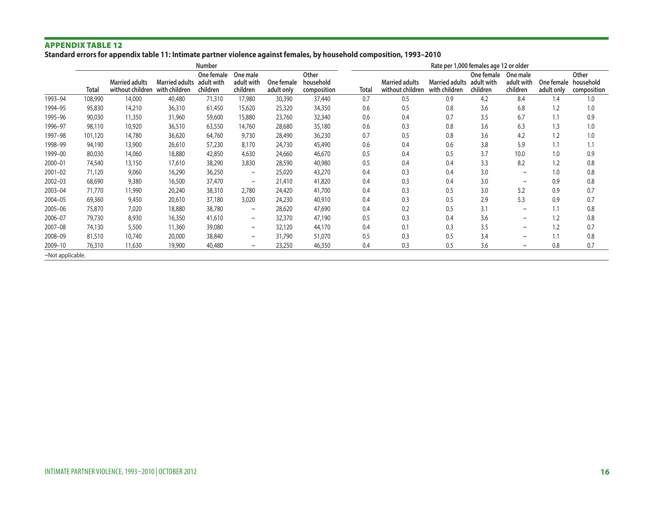# Appendix table 12

**Standard errors for appendix table 11: Intimate partner violence against females, by household composition, 1993–2010**

|                  | <b>Number</b> |                                           |                                        |                                      |                                    |                          |                                   |              | Rate per 1,000 females age 12 or older    |                                        |                                               |                        |                          |                                   |  |  |
|------------------|---------------|-------------------------------------------|----------------------------------------|--------------------------------------|------------------------------------|--------------------------|-----------------------------------|--------------|-------------------------------------------|----------------------------------------|-----------------------------------------------|------------------------|--------------------------|-----------------------------------|--|--|
|                  | <b>Total</b>  | <b>Married adults</b><br>without children | <b>Married adults</b><br>with children | One female<br>adult with<br>children | One male<br>adult with<br>children | One female<br>adult only | Other<br>household<br>composition | <b>Total</b> | <b>Married adults</b><br>without children | <b>Married adults</b><br>with children | One female One male<br>adult with<br>children | adult with<br>children | One female<br>adult only | Other<br>household<br>composition |  |  |
| 1993-94          | 108,990       | 14,000                                    | 40,480                                 | 71,310                               | 17,980                             | 30,390                   | 37,440                            | 0.7          | 0.5                                       | 0.9                                    | 4.2                                           | 8.4                    | 1.4                      | 1.0                               |  |  |
| 1994-95          | 95,830        | 14,210                                    | 36,310                                 | 61,450                               | 15,620                             | 25,320                   | 34,350                            | 0.6          | 0.5                                       | 0.8                                    | 3.6                                           | 6.8                    | 1.2                      | 1.0                               |  |  |
| 1995-96          | 90,030        | 11,350                                    | 31,960                                 | 59,600                               | 15,880                             | 23,760                   | 32,340                            | 0.6          | 0.4                                       | 0.7                                    | 3.5                                           | 6.7                    | 1.1                      | 0.9                               |  |  |
| 1996-97          | 98,110        | 10,920                                    | 36,510                                 | 63,550                               | 14,760                             | 28,680                   | 35,180                            | 0.6          | 0.3                                       | 0.8                                    | 3.6                                           | 6.3                    | 1.3                      | 1.0                               |  |  |
| 1997-98          | 101,120       | 14,780                                    | 36,620                                 | 64,760                               | 9,730                              | 28,490                   | 36,230                            | 0.7          | 0.5                                       | 0.8                                    | 3.6                                           | 4.2                    | 1.2                      | 1.0                               |  |  |
| 1998-99          | 94,190        | 13,900                                    | 26,610                                 | 57,230                               | 8,170                              | 24,730                   | 45,490                            | 0.6          | 0.4                                       | 0.6                                    | 3.8                                           | 5.9                    | 1.1                      | 1.1                               |  |  |
| 1999-00          | 80,030        | 14,060                                    | 18,880                                 | 42,850                               | 4,630                              | 24,660                   | 46,670                            | 0.5          | 0.4                                       | 0.5                                    | 3.7                                           | 10.0                   | 1.0                      | 0.9                               |  |  |
| 2000-01          | 74,540        | 13,150                                    | 17,610                                 | 38,290                               | 3,830                              | 28,590                   | 40,980                            | 0.5          | 0.4                                       | 0.4                                    | 3.3                                           | 8.2                    | 1.2                      | 0.8                               |  |  |
| $2001 - 02$      | 71,120        | 9,060                                     | 16,290                                 | 36,250                               | $\sim$                             | 25,020                   | 43,270                            | 0.4          | 0.3                                       | 0.4                                    | 3.0                                           | $\sim$                 | 1.0                      | 0.8                               |  |  |
| $2002 - 03$      | 68,690        | 9,380                                     | 16,500                                 | 37,470                               | $\sim$                             | 21,410                   | 41,820                            | 0.4          | 0.3                                       | 0.4                                    | 3.0                                           | $\sim$                 | 0.9                      | 0.8                               |  |  |
| 2003-04          | 71,770        | 11,990                                    | 20,240                                 | 38,310                               | 2,780                              | 24,420                   | 41,700                            | 0.4          | 0.3                                       | 0.5                                    | 3.0                                           | 5.2                    | 0.9                      | 0.7                               |  |  |
| 2004-05          | 69,360        | 9,450                                     | 20,610                                 | 37,180                               | 3,020                              | 24,230                   | 40,910                            | 0.4          | 0.3                                       | 0.5                                    | 2.9                                           | 5.3                    | 0.9                      | 0.7                               |  |  |
| 2005-06          | 75,870        | 7,020                                     | 18,880                                 | 38,780                               | $\sim$                             | 28,620                   | 47,690                            | 0.4          | 0.2                                       | 0.5                                    | 3.1                                           | $\sim$                 | 1.1                      | 0.8                               |  |  |
| 2006-07          | 79,730        | 8,930                                     | 16,350                                 | 41,610                               | $\sim$                             | 32,370                   | 47,190                            | 0.5          | 0.3                                       | 0.4                                    | 3.6                                           | $\sim$                 | 1.2                      | 0.8                               |  |  |
| 2007-08          | 74,130        | 5,500                                     | 11,360                                 | 39,080                               | $\sim$                             | 32,120                   | 44,170                            | 0.4          | 0.1                                       | 0.3                                    | 3.5                                           | $\sim$                 | 1.2                      | 0.7                               |  |  |
| 2008-09          | 81,510        | 10,740                                    | 20,000                                 | 38,840                               | $\sim$                             | 31,790                   | 51,070                            | 0.5          | 0.3                                       | 0.5                                    | 3.4                                           | $\sim$                 | 1.1                      | 0.8                               |  |  |
| 2009-10          | 76,310        | 11,630                                    | 19,900                                 | 40,480                               | $\sim$                             | 23,250                   | 46,350                            | 0.4          | 0.3                                       | 0.5                                    | 3.6                                           | $\sim$                 | 0.8                      | 0.7                               |  |  |
| ~Not applicable. |               |                                           |                                        |                                      |                                    |                          |                                   |              |                                           |                                        |                                               |                        |                          |                                   |  |  |